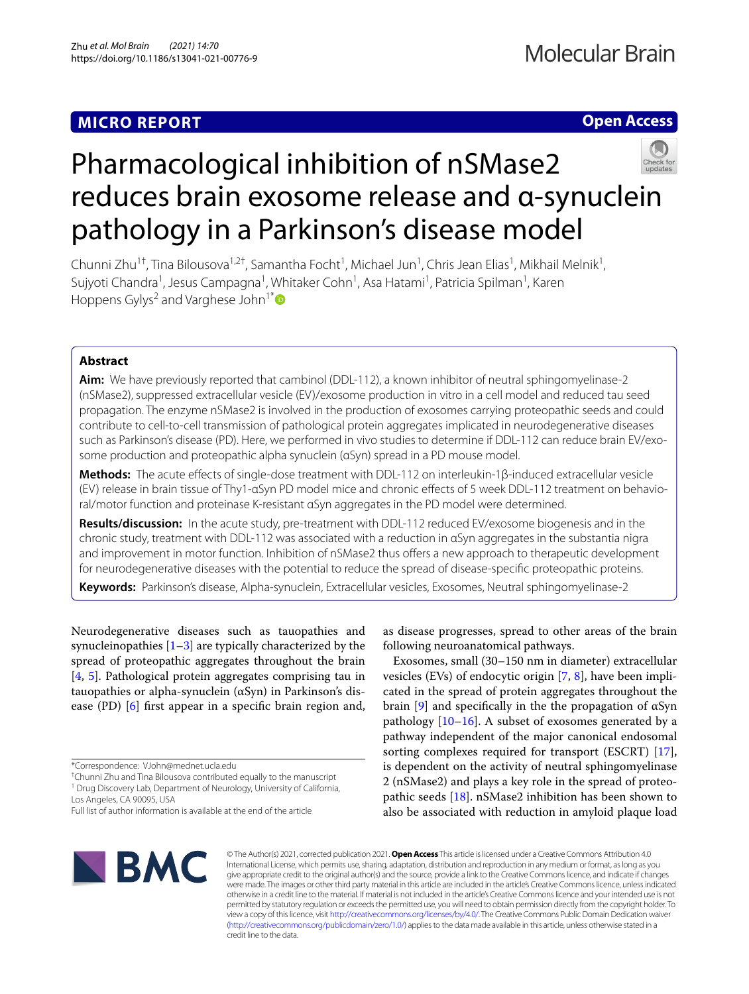# **MICRO REPORT**

**Open Access**

# Pharmacological inhibition of nSMase2 reduces brain exosome release and α-synuclein pathology in a Parkinson's disease model



Chunni Zhu<sup>1†</sup>, Tina Bilousova<sup>1,2†</sup>, Samantha Focht<sup>1</sup>, Michael Jun<sup>1</sup>, Chris Jean Elias<sup>1</sup>, Mikhail Melnik<sup>1</sup>, Sujyoti Chandra<sup>1</sup>, Jesus Campagna<sup>1</sup>, Whitaker Cohn<sup>1</sup>, Asa Hatami<sup>1</sup>, Patricia Spilman<sup>1</sup>, Karen Hoppens Gylys<sup>2</sup> and Varghese John<sup>1[\\*](http://orcid.org/0000-0001-7675-2426)</sup>

# **Abstract**

**Aim:** We have previously reported that cambinol (DDL-112), a known inhibitor of neutral sphingomyelinase-2 (nSMase2), suppressed extracellular vesicle (EV)/exosome production in vitro in a cell model and reduced tau seed propagation. The enzyme nSMase2 is involved in the production of exosomes carrying proteopathic seeds and could contribute to cell-to-cell transmission of pathological protein aggregates implicated in neurodegenerative diseases such as Parkinson's disease (PD). Here, we performed in vivo studies to determine if DDL-112 can reduce brain EV/exosome production and proteopathic alpha synuclein (αSyn) spread in a PD mouse model.

**Methods:** The acute efects of single-dose treatment with DDL-112 on interleukin-1β-induced extracellular vesicle (EV) release in brain tissue of Thy1-αSyn PD model mice and chronic efects of 5 week DDL-112 treatment on behavioral/motor function and proteinase K-resistant αSyn aggregates in the PD model were determined.

**Results/discussion:** In the acute study, pre-treatment with DDL-112 reduced EV/exosome biogenesis and in the chronic study, treatment with DDL-112 was associated with a reduction in αSyn aggregates in the substantia nigra and improvement in motor function. Inhibition of nSMase2 thus offers a new approach to therapeutic development for neurodegenerative diseases with the potential to reduce the spread of disease-specifc proteopathic proteins.

**Keywords:** Parkinson's disease, Alpha-synuclein, Extracellular vesicles, Exosomes, Neutral sphingomyelinase-2

Neurodegenerative diseases such as tauopathies and synucleinopathies  $[1-3]$  $[1-3]$  $[1-3]$  are typically characterized by the spread of proteopathic aggregates throughout the brain [[4,](#page-5-2) [5](#page-5-3)]. Pathological protein aggregates comprising tau in tauopathies or alpha-synuclein (αSyn) in Parkinson's disease (PD) [\[6](#page-5-4)] frst appear in a specifc brain region and,

† Chunni Zhu and Tina Bilousova contributed equally to the manuscript <sup>1</sup> Drug Discovery Lab, Department of Neurology, University of California,

Los Angeles, CA 90095, USA

as disease progresses, spread to other areas of the brain following neuroanatomical pathways.

Exosomes, small (30–150 nm in diameter) extracellular vesicles (EVs) of endocytic origin [[7,](#page-5-5) [8\]](#page-6-0), have been implicated in the spread of protein aggregates throughout the brain [[9](#page-6-1)] and specifcally in the the propagation of αSyn pathology  $[10-16]$  $[10-16]$ . A subset of exosomes generated by a pathway independent of the major canonical endosomal sorting complexes required for transport (ESCRT) [\[17](#page-6-4)], is dependent on the activity of neutral sphingomyelinase 2 (nSMase2) and plays a key role in the spread of proteopathic seeds [[18\]](#page-6-5). nSMase2 inhibition has been shown to also be associated with reduction in amyloid plaque load



© The Author(s) 2021, corrected publication 2021. **Open Access** This article is licensed under a Creative Commons Attribution 4.0 International License, which permits use, sharing, adaptation, distribution and reproduction in any medium or format, as long as you give appropriate credit to the original author(s) and the source, provide a link to the Creative Commons licence, and indicate if changes were made. The images or other third party material in this article are included in the article's Creative Commons licence, unless indicated otherwise in a credit line to the material. If material is not included in the article's Creative Commons licence and your intended use is not permitted by statutory regulation or exceeds the permitted use, you will need to obtain permission directly from the copyright holder. To view a copy of this licence, visit [http://creativecommons.org/licenses/by/4.0/.](http://creativecommons.org/licenses/by/4.0/) The Creative Commons Public Domain Dedication waiver [\(http://creativecommons.org/publicdomain/zero/1.0/\)](http://creativecommons.org/publicdomain/zero/1.0/) applies to the data made available in this article, unless otherwise stated in a credit line to the data.

<sup>\*</sup>Correspondence: VJohn@mednet.ucla.edu

Full list of author information is available at the end of the article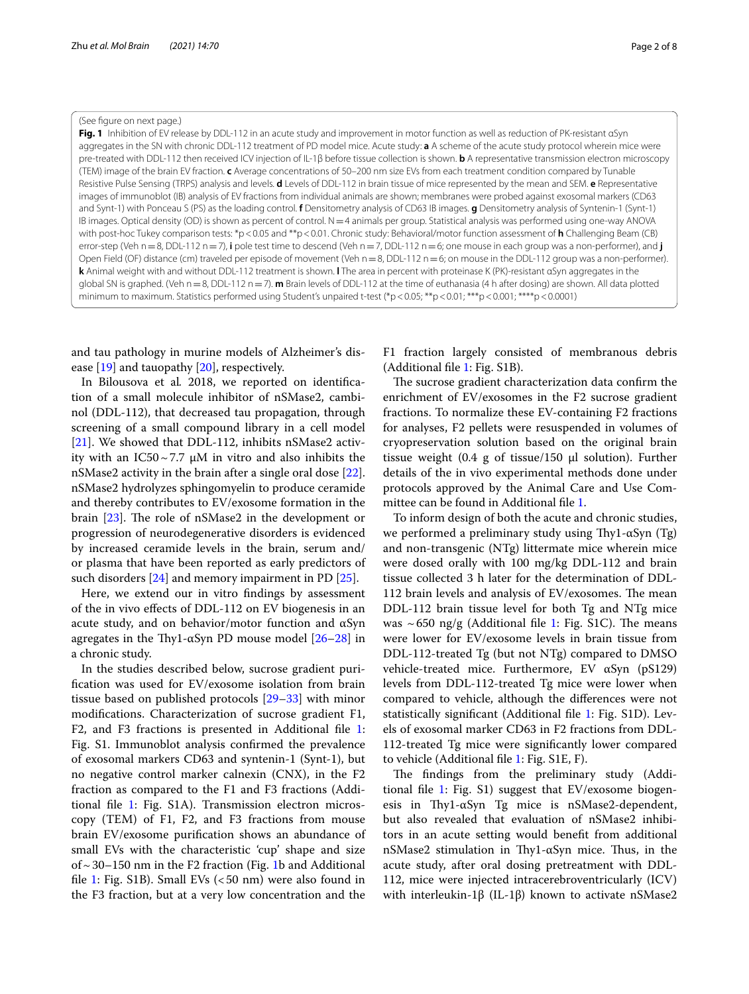#### (See fgure on next page.)

<span id="page-1-0"></span>**Fig. 1** Inhibition of EV release by DDL-112 in an acute study and improvement in motor function as well as reduction of PK-resistant αSyn aggregates in the SN with chronic DDL-112 treatment of PD model mice. Acute study: **a** A scheme of the acute study protocol wherein mice were pre-treated with DDL-112 then received ICV injection of IL-1β before tissue collection is shown. **b** A representative transmission electron microscopy (TEM) image of the brain EV fraction. **c** Average concentrations of 50–200 nm size EVs from each treatment condition compared by Tunable Resistive Pulse Sensing (TRPS) analysis and levels. **d** Levels of DDL-112 in brain tissue of mice represented by the mean and SEM. **e** Representative images of immunoblot (IB) analysis of EV fractions from individual animals are shown; membranes were probed against exosomal markers (CD63 and Synt-1) with Ponceau S (PS) as the loading control. **f** Densitometry analysis of CD63 IB images. **g** Densitometry analysis of Syntenin-1 (Synt-1) IB images. Optical density (OD) is shown as percent of control. N=4 animals per group. Statistical analysis was performed using one-way ANOVA with post-hoc Tukey comparison tests: \*p<0.05 and \*\*p<0.01. Chronic study: Behavioral/motor function assessment of **h** Challenging Beam (CB) error-step (Veh n=8, DDL-112 n=7), **i** pole test time to descend (Veh n=7, DDL-112 n=6; one mouse in each group was a non-performer), and **j** Open Field (OF) distance (cm) traveled per episode of movement (Veh n=8, DDL-112 n=6; on mouse in the DDL-112 group was a non-performer). **k** Animal weight with and without DDL-112 treatment is shown. **l** The area in percent with proteinase K (PK)-resistant αSyn aggregates in the global SN is graphed. (Veh n=8, DDL-112 n=7). **m** Brain levels of DDL-112 at the time of euthanasia (4 h after dosing) are shown. All data plotted minimum to maximum. Statistics performed using Student's unpaired t-test (\*p < 0.05; \*\*p < 0.01; \*\*\*p < 0.001; \*\*\*\*p < 0.0001)

and tau pathology in murine models of Alzheimer's disease [[19](#page-6-6)] and tauopathy [[20\]](#page-6-7), respectively.

In Bilousova et al*.* 2018, we reported on identifcation of a small molecule inhibitor of nSMase2, cambinol (DDL-112), that decreased tau propagation, through screening of a small compound library in a cell model [[21\]](#page-6-8). We showed that DDL-112, inhibits nSMase2 activity with an IC50~7.7 μM in vitro and also inhibits the nSMase2 activity in the brain after a single oral dose [\[22](#page-6-9)]. nSMase2 hydrolyzes sphingomyelin to produce ceramide and thereby contributes to EV/exosome formation in the brain  $[23]$ . The role of nSMase2 in the development or progression of neurodegenerative disorders is evidenced by increased ceramide levels in the brain, serum and/ or plasma that have been reported as early predictors of such disorders  $[24]$  $[24]$  and memory impairment in PD  $[25]$  $[25]$ .

Here, we extend our in vitro fndings by assessment of the in vivo efects of DDL-112 on EV biogenesis in an acute study, and on behavior/motor function and αSyn agregates in the Thy1- $\alpha$ Syn PD mouse model [[26](#page-6-13)[–28](#page-6-14)] in a chronic study.

In the studies described below, sucrose gradient purifcation was used for EV/exosome isolation from brain tissue based on published protocols [[29–](#page-6-15)[33](#page-6-16)] with minor modifcations. Characterization of sucrose gradient F1, F2, and F3 fractions is presented in Additional fle [1](#page-5-6): Fig. S1. Immunoblot analysis confrmed the prevalence of exosomal markers CD63 and syntenin-1 (Synt-1), but no negative control marker calnexin (CNX), in the F2 fraction as compared to the F1 and F3 fractions (Additional fle [1:](#page-5-6) Fig. S1A). Transmission electron microscopy (TEM) of F1, F2, and F3 fractions from mouse brain EV/exosome purifcation shows an abundance of small EVs with the characteristic 'cup' shape and size of  $\sim$  30–150 nm in the F2 fraction (Fig. [1b](#page-1-0) and Additional file [1](#page-5-6): Fig. S1B). Small EVs  $(*50*$  nm) were also found in the F3 fraction, but at a very low concentration and the

F1 fraction largely consisted of membranous debris (Additional fle [1](#page-5-6): Fig. S1B).

The sucrose gradient characterization data confirm the enrichment of EV/exosomes in the F2 sucrose gradient fractions. To normalize these EV-containing F2 fractions for analyses, F2 pellets were resuspended in volumes of cryopreservation solution based on the original brain tissue weight (0.4 g of tissue/150  $\mu$ l solution). Further details of the in vivo experimental methods done under protocols approved by the Animal Care and Use Committee can be found in Additional fle [1](#page-5-6).

To inform design of both the acute and chronic studies, we performed a preliminary study using Thy1- $\alpha$ Syn (Tg) and non-transgenic (NTg) littermate mice wherein mice were dosed orally with 100 mg/kg DDL-112 and brain tissue collected 3 h later for the determination of DDL-112 brain levels and analysis of EV/exosomes. The mean DDL-112 brain tissue level for both Tg and NTg mice was  $\sim$  650 ng/g (Additional file [1:](#page-5-6) Fig. S1C). The means were lower for EV/exosome levels in brain tissue from DDL-112-treated Tg (but not NTg) compared to DMSO vehicle-treated mice. Furthermore, EV αSyn (pS129) levels from DDL-112-treated Tg mice were lower when compared to vehicle, although the diferences were not statistically signifcant (Additional fle [1](#page-5-6): Fig. S1D). Levels of exosomal marker CD63 in F2 fractions from DDL-112-treated Tg mice were signifcantly lower compared to vehicle (Additional fle [1:](#page-5-6) Fig. S1E, F).

The findings from the preliminary study (Additional fle [1:](#page-5-6) Fig. S1) suggest that EV/exosome biogenesis in Thy1- $\alpha$ Syn Tg mice is nSMase2-dependent, but also revealed that evaluation of nSMase2 inhibitors in an acute setting would beneft from additional nSMase2 stimulation in Thy1-αSyn mice. Thus, in the acute study, after oral dosing pretreatment with DDL-112, mice were injected intracerebroventricularly (ICV) with interleukin-1β (IL-1β) known to activate nSMase2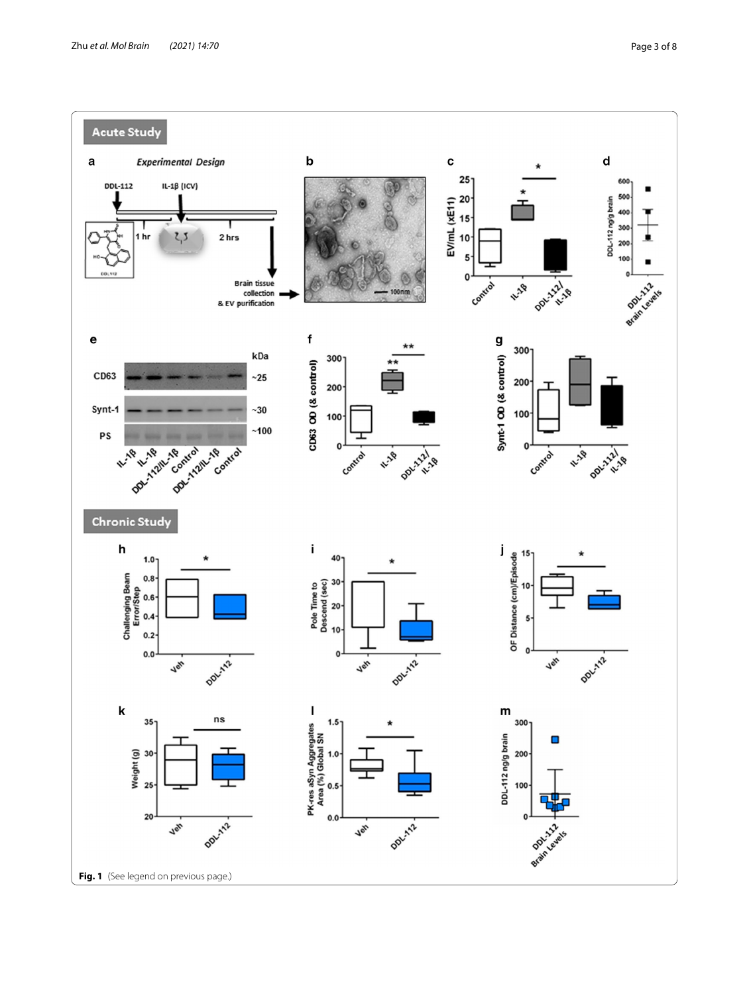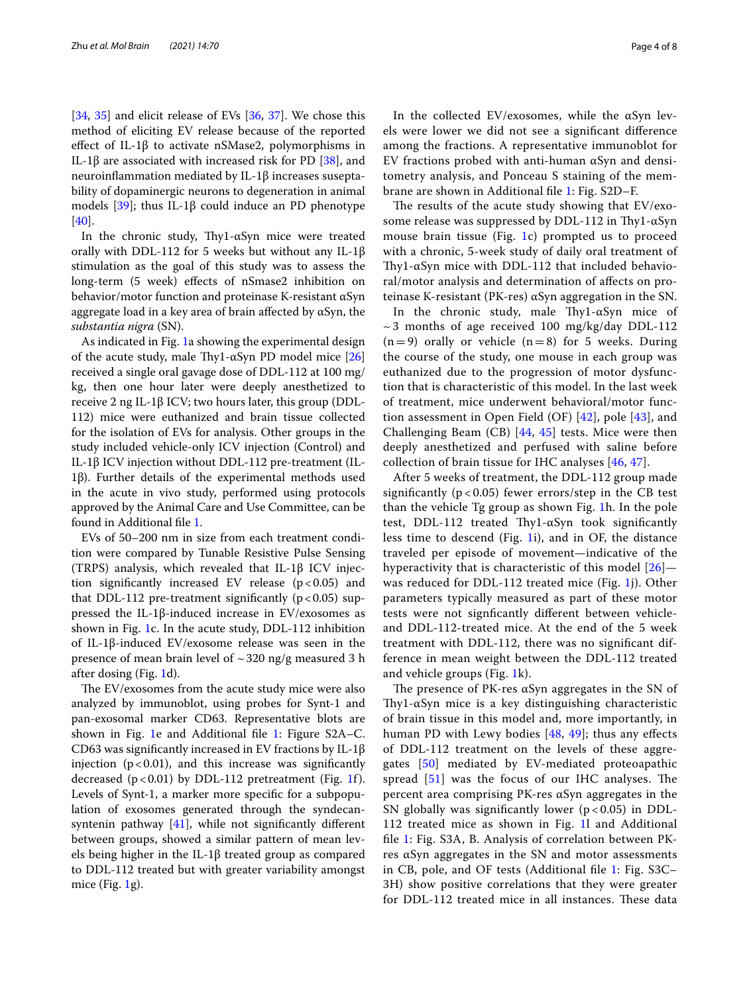[[34,](#page-6-17) [35](#page-6-18)] and elicit release of EVs [[36,](#page-6-19) [37](#page-6-20)]. We chose this method of eliciting EV release because of the reported effect of IL-1 $\beta$  to activate nSMase2, polymorphisms in IL-1β are associated with increased risk for PD  $[38]$  $[38]$ , and neuroinfammation mediated by IL-1β increases suseptability of dopaminergic neurons to degeneration in animal models [ $39$ ]; thus IL-1 $\beta$  could induce an PD phenotype [[40\]](#page-6-23).

In the chronic study, Thy1- $\alpha$ Syn mice were treated orally with DDL-112 for 5 weeks but without any IL-1β stimulation as the goal of this study was to assess the long-term (5 week) effects of nSmase2 inhibition on behavior/motor function and proteinase K-resistant αSyn aggregate load in a key area of brain affected by  $\alpha$ Syn, the *substantia nigra* (SN).

As indicated in Fig. [1a](#page-1-0) showing the experimental design of the acute study, male Thy1- $\alpha$ Syn PD model mice [[26](#page-6-13)] received a single oral gavage dose of DDL-112 at 100 mg/ kg, then one hour later were deeply anesthetized to receive 2 ng IL-1β ICV; two hours later, this group (DDL-112) mice were euthanized and brain tissue collected for the isolation of EVs for analysis. Other groups in the study included vehicle-only ICV injection (Control) and IL-1β ICV injection without DDL-112 pre-treatment (IL-1β). Further details of the experimental methods used in the acute in vivo study, performed using protocols approved by the Animal Care and Use Committee, can be found in Additional fle [1.](#page-5-6)

EVs of 50–200 nm in size from each treatment condition were compared by Tunable Resistive Pulse Sensing (TRPS) analysis, which revealed that IL-1β ICV injection significantly increased EV release  $(p<0.05)$  and that DDL-112 pre-treatment significantly ( $p < 0.05$ ) suppressed the IL-1β-induced increase in EV/exosomes as shown in Fig. [1](#page-1-0)c. In the acute study, DDL-112 inhibition of IL-1β-induced EV/exosome release was seen in the presence of mean brain level of  $\sim$  320 ng/g measured 3 h after dosing (Fig. [1d](#page-1-0)).

The EV/exosomes from the acute study mice were also analyzed by immunoblot, using probes for Synt-1 and pan-exosomal marker CD63. Representative blots are shown in Fig. [1](#page-1-0)e and Additional fle [1:](#page-5-6) Figure S2A–C. CD63 was signifcantly increased in EV fractions by IL-1β injection ( $p < 0.01$ ), and this increase was significantly decreased  $(p<0.01)$  $(p<0.01)$  $(p<0.01)$  by DDL-112 pretreatment (Fig. 1f). Levels of Synt-1, a marker more specifc for a subpopulation of exosomes generated through the syndecansyntenin pathway  $[41]$  $[41]$ , while not significantly different between groups, showed a similar pattern of mean levels being higher in the IL-1β treated group as compared to DDL-112 treated but with greater variability amongst mice (Fig.  $1g$ ).

In the collected EV/exosomes, while the αSyn levels were lower we did not see a signifcant diference among the fractions. A representative immunoblot for EV fractions probed with anti-human  $\alpha$ Syn and densitometry analysis, and Ponceau S staining of the membrane are shown in Additional fle [1:](#page-5-6) Fig. S2D–F.

The results of the acute study showing that  $EV$ /exosome release was suppressed by DDL-112 in Thy1- $\alpha$ Syn mouse brain tissue (Fig. [1c](#page-1-0)) prompted us to proceed with a chronic, 5-week study of daily oral treatment of Thy1- $\alpha$ Syn mice with DDL-112 that included behavioral/motor analysis and determination of afects on proteinase K-resistant (PK-res) αSyn aggregation in the SN.

In the chronic study, male Thy1- $\alpha$ Syn mice of  $\sim$  3 months of age received 100 mg/kg/day DDL-112  $(n=9)$  orally or vehicle  $(n=8)$  for 5 weeks. During the course of the study, one mouse in each group was euthanized due to the progression of motor dysfunction that is characteristic of this model. In the last week of treatment, mice underwent behavioral/motor function assessment in Open Field (OF) [[42\]](#page-6-25), pole [\[43\]](#page-6-26), and Challenging Beam (CB) [[44](#page-6-27), [45](#page-6-28)] tests. Mice were then deeply anesthetized and perfused with saline before collection of brain tissue for IHC analyses [\[46](#page-6-29), [47](#page-7-0)].

After 5 weeks of treatment, the DDL-112 group made significantly ( $p < 0.05$ ) fewer errors/step in the CB test than the vehicle Tg group as shown Fig. [1h](#page-1-0). In the pole test, DDL-112 treated Thy1- $\alpha$ Syn took significantly less time to descend (Fig. [1](#page-1-0)i), and in OF, the distance traveled per episode of movement—indicative of the hyperactivity that is characteristic of this model [[26](#page-6-13)]— was reduced for DDL-112 treated mice (Fig. [1j](#page-1-0)). Other parameters typically measured as part of these motor tests were not signfcantly diferent between vehicleand DDL-112-treated mice. At the end of the 5 week treatment with DDL-112, there was no signifcant difference in mean weight between the DDL-112 treated and vehicle groups (Fig. [1](#page-1-0)k).

The presence of PK-res  $\alpha$ Syn aggregates in the SN of Thy1- $\alpha$ Syn mice is a key distinguishing characteristic of brain tissue in this model and, more importantly, in human PD with Lewy bodies  $[48, 49]$  $[48, 49]$  $[48, 49]$  $[48, 49]$ ; thus any effects of DDL-112 treatment on the levels of these aggregates [[50](#page-7-3)] mediated by EV-mediated proteoapathic spread  $[51]$  $[51]$  was the focus of our IHC analyses. The percent area comprising PK-res αSyn aggregates in the SN globally was significantly lower  $(p < 0.05)$  in DDL-112 treated mice as shown in Fig. [1](#page-1-0)l and Additional fle [1:](#page-5-6) Fig. S3A, B. Analysis of correlation between PKres αSyn aggregates in the SN and motor assessments in CB, pole, and OF tests (Additional fle [1:](#page-5-6) Fig. S3C– 3H) show positive correlations that they were greater for DDL-112 treated mice in all instances. These data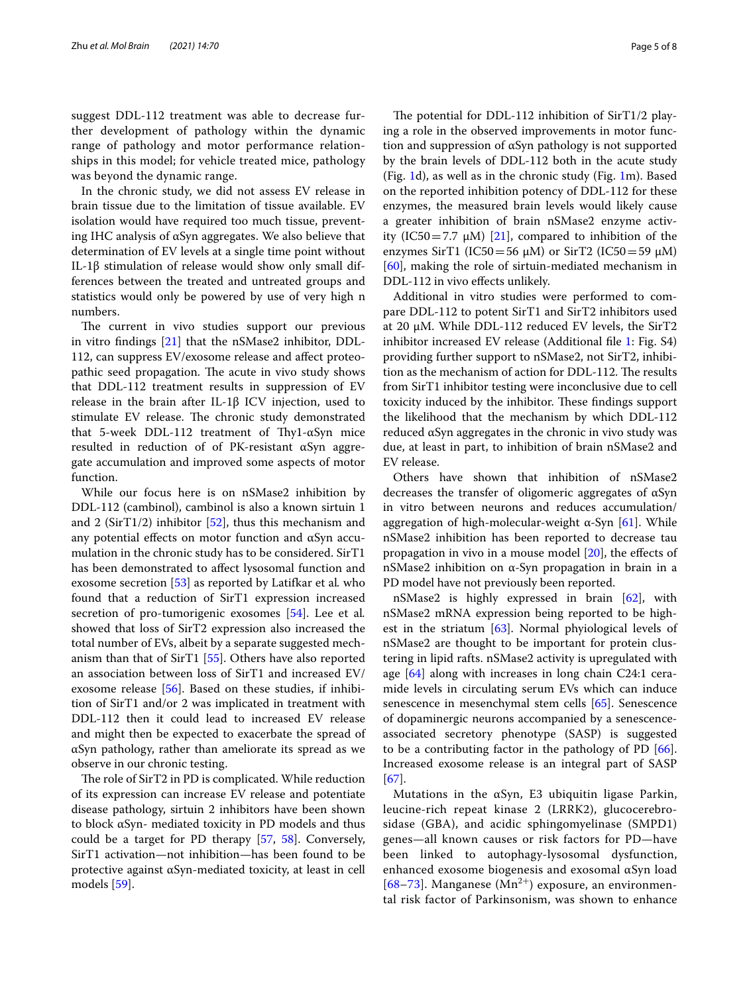suggest DDL-112 treatment was able to decrease further development of pathology within the dynamic range of pathology and motor performance relationships in this model; for vehicle treated mice, pathology was beyond the dynamic range.

In the chronic study, we did not assess EV release in brain tissue due to the limitation of tissue available. EV isolation would have required too much tissue, preventing IHC analysis of αSyn aggregates. We also believe that determination of EV levels at a single time point without IL-1β stimulation of release would show only small differences between the treated and untreated groups and statistics would only be powered by use of very high n numbers.

The current in vivo studies support our previous in vitro fndings [\[21](#page-6-8)] that the nSMase2 inhibitor, DDL-112, can suppress EV/exosome release and afect proteopathic seed propagation. The acute in vivo study shows that DDL-112 treatment results in suppression of EV release in the brain after IL-1β ICV injection, used to stimulate EV release. The chronic study demonstrated that 5-week DDL-112 treatment of Thy1- $\alpha$ Syn mice resulted in reduction of of PK-resistant αSyn aggregate accumulation and improved some aspects of motor function.

While our focus here is on nSMase2 inhibition by DDL-112 (cambinol), cambinol is also a known sirtuin 1 and 2 (SirT1/2) inhibitor  $[52]$  $[52]$ , thus this mechanism and any potential effects on motor function and  $αSyn$  accumulation in the chronic study has to be considered. SirT1 has been demonstrated to afect lysosomal function and exosome secretion [[53\]](#page-7-6) as reported by Latifkar et al*.* who found that a reduction of SirT1 expression increased secretion of pro-tumorigenic exosomes [[54\]](#page-7-7). Lee et al*.* showed that loss of SirT2 expression also increased the total number of EVs, albeit by a separate suggested mechanism than that of SirT1 [[55\]](#page-7-8). Others have also reported an association between loss of SirT1 and increased EV/ exosome release [[56](#page-7-9)]. Based on these studies, if inhibition of SirT1 and/or 2 was implicated in treatment with DDL-112 then it could lead to increased EV release and might then be expected to exacerbate the spread of αSyn pathology, rather than ameliorate its spread as we observe in our chronic testing.

The role of SirT2 in PD is complicated. While reduction of its expression can increase EV release and potentiate disease pathology, sirtuin 2 inhibitors have been shown to block αSyn- mediated toxicity in PD models and thus could be a target for PD therapy [\[57](#page-7-10), [58\]](#page-7-11). Conversely, SirT1 activation—not inhibition—has been found to be protective against αSyn-mediated toxicity, at least in cell models [[59\]](#page-7-12).

The potential for DDL-112 inhibition of  $SirT1/2$  playing a role in the observed improvements in motor function and suppression of αSyn pathology is not supported by the brain levels of DDL-112 both in the acute study (Fig. [1d](#page-1-0)), as well as in the chronic study (Fig. [1m](#page-1-0)). Based on the reported inhibition potency of DDL-112 for these enzymes, the measured brain levels would likely cause a greater inhibition of brain nSMase2 enzyme activity (IC50=7.7  $\mu$ M) [[21\]](#page-6-8), compared to inhibition of the enzymes SirT1 (IC50=56  $\mu$ M) or SirT2 (IC50=59  $\mu$ M) [[60\]](#page-7-13), making the role of sirtuin-mediated mechanism in DDL-112 in vivo efects unlikely.

Additional in vitro studies were performed to compare DDL-112 to potent SirT1 and SirT2 inhibitors used at 20 μM. While DDL-112 reduced EV levels, the SirT2 inhibitor increased EV release (Additional fle [1](#page-5-6): Fig. S4) providing further support to nSMase2, not SirT2, inhibition as the mechanism of action for DDL-112. The results from SirT1 inhibitor testing were inconclusive due to cell toxicity induced by the inhibitor. These findings support the likelihood that the mechanism by which DDL-112 reduced αSyn aggregates in the chronic in vivo study was due, at least in part, to inhibition of brain nSMase2 and EV release.

Others have shown that inhibition of nSMase2 decreases the transfer of oligomeric aggregates of αSyn in vitro between neurons and reduces accumulation/ aggregation of high-molecular-weight α-Syn [[61\]](#page-7-14). While nSMase2 inhibition has been reported to decrease tau propagation in vivo in a mouse model [\[20](#page-6-7)], the efects of nSMase2 inhibition on α-Syn propagation in brain in a PD model have not previously been reported.

nSMase2 is highly expressed in brain [[62\]](#page-7-15), with nSMase2 mRNA expression being reported to be highest in the striatum [\[63](#page-7-16)]. Normal phyiological levels of nSMase2 are thought to be important for protein clustering in lipid rafts. nSMase2 activity is upregulated with age [\[64](#page-7-17)] along with increases in long chain C24:1 ceramide levels in circulating serum EVs which can induce senescence in mesenchymal stem cells [\[65\]](#page-7-18). Senescence of dopaminergic neurons accompanied by a senescenceassociated secretory phenotype (SASP) is suggested to be a contributing factor in the pathology of PD [\[66](#page-7-19)]. Increased exosome release is an integral part of SASP [[67\]](#page-7-20).

Mutations in the αSyn, E3 ubiquitin ligase Parkin, leucine-rich repeat kinase 2 (LRRK2), glucocerebrosidase (GBA), and acidic sphingomyelinase (SMPD1) genes—all known causes or risk factors for PD—have been linked to autophagy-lysosomal dysfunction, enhanced exosome biogenesis and exosomal αSyn load [[68](#page-7-21)[–73](#page-7-22)]. Manganese  $(Mn^{2+})$  exposure, an environmental risk factor of Parkinsonism, was shown to enhance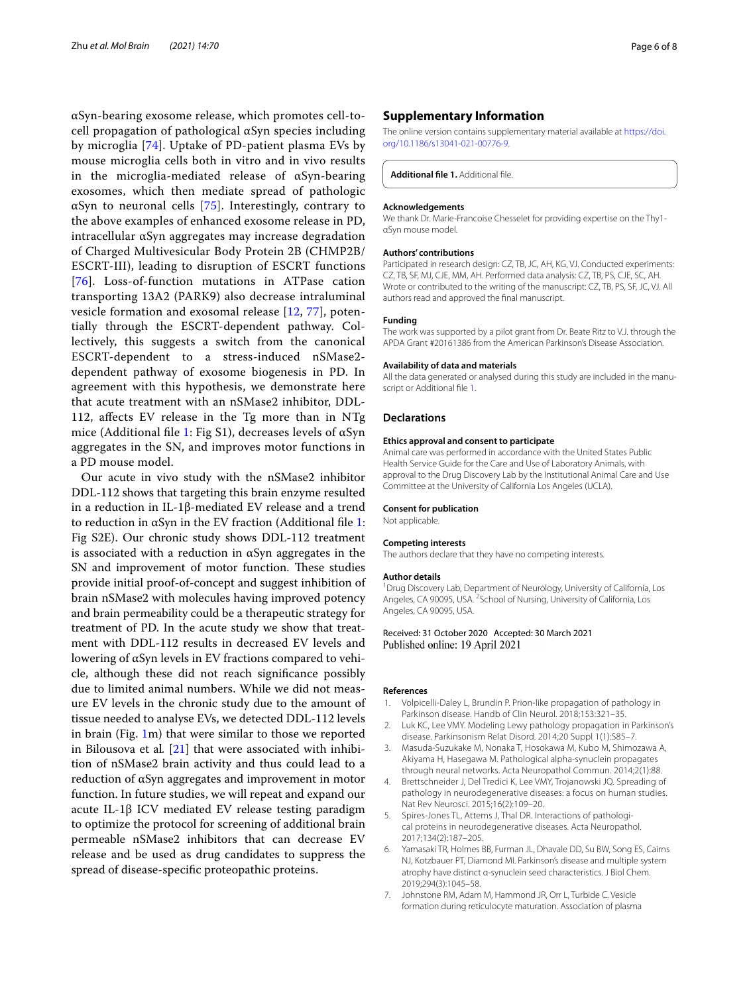αSyn-bearing exosome release, which promotes cell-tocell propagation of pathological αSyn species including by microglia [[74](#page-7-23)]. Uptake of PD-patient plasma EVs by mouse microglia cells both in vitro and in vivo results in the microglia-mediated release of αSyn-bearing exosomes, which then mediate spread of pathologic αSyn to neuronal cells [[75\]](#page-7-24). Interestingly, contrary to the above examples of enhanced exosome release in PD, intracellular αSyn aggregates may increase degradation of Charged Multivesicular Body Protein 2B (CHMP2B/ ESCRT-III), leading to disruption of ESCRT functions [[76](#page-7-25)]. Loss-of-function mutations in ATPase cation transporting 13A2 (PARK9) also decrease intraluminal vesicle formation and exosomal release [[12,](#page-6-30) [77](#page-7-26)], potentially through the ESCRT-dependent pathway. Collectively, this suggests a switch from the canonical ESCRT-dependent to a stress-induced nSMase2 dependent pathway of exosome biogenesis in PD. In agreement with this hypothesis, we demonstrate here that acute treatment with an nSMase2 inhibitor, DDL-112, afects EV release in the Tg more than in NTg mice (Additional file [1:](#page-5-6) Fig S1), decreases levels of  $\alpha$ Syn aggregates in the SN, and improves motor functions in a PD mouse model.

Our acute in vivo study with the nSMase2 inhibitor DDL-112 shows that targeting this brain enzyme resulted in a reduction in IL-1β-mediated EV release and a trend to reduction in αSyn in the EV fraction (Additional fle [1](#page-5-6): Fig S2E). Our chronic study shows DDL-112 treatment is associated with a reduction in αSyn aggregates in the SN and improvement of motor function. These studies provide initial proof-of-concept and suggest inhibition of brain nSMase2 with molecules having improved potency and brain permeability could be a therapeutic strategy for treatment of PD. In the acute study we show that treatment with DDL-112 results in decreased EV levels and lowering of αSyn levels in EV fractions compared to vehicle, although these did not reach signifcance possibly due to limited animal numbers. While we did not measure EV levels in the chronic study due to the amount of tissue needed to analyse EVs, we detected DDL-112 levels in brain (Fig. [1m](#page-1-0)) that were similar to those we reported in Bilousova et al*.* [[21](#page-6-8)] that were associated with inhibition of nSMase2 brain activity and thus could lead to a reduction of αSyn aggregates and improvement in motor function. In future studies, we will repeat and expand our acute IL-1β ICV mediated EV release testing paradigm to optimize the protocol for screening of additional brain permeable nSMase2 inhibitors that can decrease EV release and be used as drug candidates to suppress the spread of disease-specifc proteopathic proteins.

## **Supplementary Information**

The online version contains supplementary material available at [https://doi.](https://doi.org/10.1186/s13041-021-00776-9) [org/10.1186/s13041-021-00776-9](https://doi.org/10.1186/s13041-021-00776-9).

<span id="page-5-6"></span>**Additional fle 1.** Additional fle.

#### **Acknowledgements**

We thank Dr. Marie-Francoise Chesselet for providing expertise on the Thy1 αSyn mouse model.

## **Authors' contributions**

Participated in research design: CZ, TB, JC, AH, KG, VJ. Conducted experiments: CZ, TB, SF, MJ, CJE, MM, AH. Performed data analysis: CZ, TB, PS, CJE, SC, AH. Wrote or contributed to the writing of the manuscript: CZ, TB, PS, SF, JC, VJ. All authors read and approved the fnal manuscript.

#### **Funding**

The work was supported by a pilot grant from Dr. Beate Ritz to V.J. through the APDA Grant #20161386 from the American Parkinson's Disease Association.

#### **Availability of data and materials**

All the data generated or analysed during this study are included in the manuscript or Additional fle [1](#page-5-6).

#### **Declarations**

## **Ethics approval and consent to participate**

Animal care was performed in accordance with the United States Public Health Service Guide for the Care and Use of Laboratory Animals, with approval to the Drug Discovery Lab by the Institutional Animal Care and Use Committee at the University of California Los Angeles (UCLA).

#### **Consent for publication**

Not applicable.

#### **Competing interests**

The authors declare that they have no competing interests.

#### **Author details**

<sup>1</sup> Drug Discovery Lab, Department of Neurology, University of California, Los Angeles, CA 90095, USA. <sup>2</sup> School of Nursing, University of California, Los Angeles, CA 90095, USA.

### Received: 31 October 2020 Accepted: 30 March 2021 Published online: 19 April 2021

#### **References**

- <span id="page-5-0"></span>1. Volpicelli-Daley L, Brundin P. Prion-like propagation of pathology in Parkinson disease. Handb of Clin Neurol. 2018;153:321–35.
- 2. Luk KC, Lee VMY. Modeling Lewy pathology propagation in Parkinson's disease. Parkinsonism Relat Disord. 2014;20 Suppl 1(1):S85–7.
- <span id="page-5-1"></span>3. Masuda-Suzukake M, Nonaka T, Hosokawa M, Kubo M, Shimozawa A, Akiyama H, Hasegawa M. Pathological alpha-synuclein propagates through neural networks. Acta Neuropathol Commun. 2014;2(1):88.
- <span id="page-5-2"></span>4. Brettschneider J, Del Tredici K, Lee VMY, Trojanowski JQ. Spreading of pathology in neurodegenerative diseases: a focus on human studies. Nat Rev Neurosci. 2015;16(2):109–20.
- <span id="page-5-3"></span>5. Spires-Jones TL, Attems J, Thal DR. Interactions of pathological proteins in neurodegenerative diseases. Acta Neuropathol. 2017;134(2):187–205.
- <span id="page-5-4"></span>6. Yamasaki TR, Holmes BB, Furman JL, Dhavale DD, Su BW, Song ES, Cairns NJ, Kotzbauer PT, Diamond MI. Parkinson's disease and multiple system atrophy have distinct α-synuclein seed characteristics. J Biol Chem. 2019;294(3):1045–58.
- <span id="page-5-5"></span>7. Johnstone RM, Adam M, Hammond JR, Orr L, Turbide C. Vesicle formation during reticulocyte maturation. Association of plasma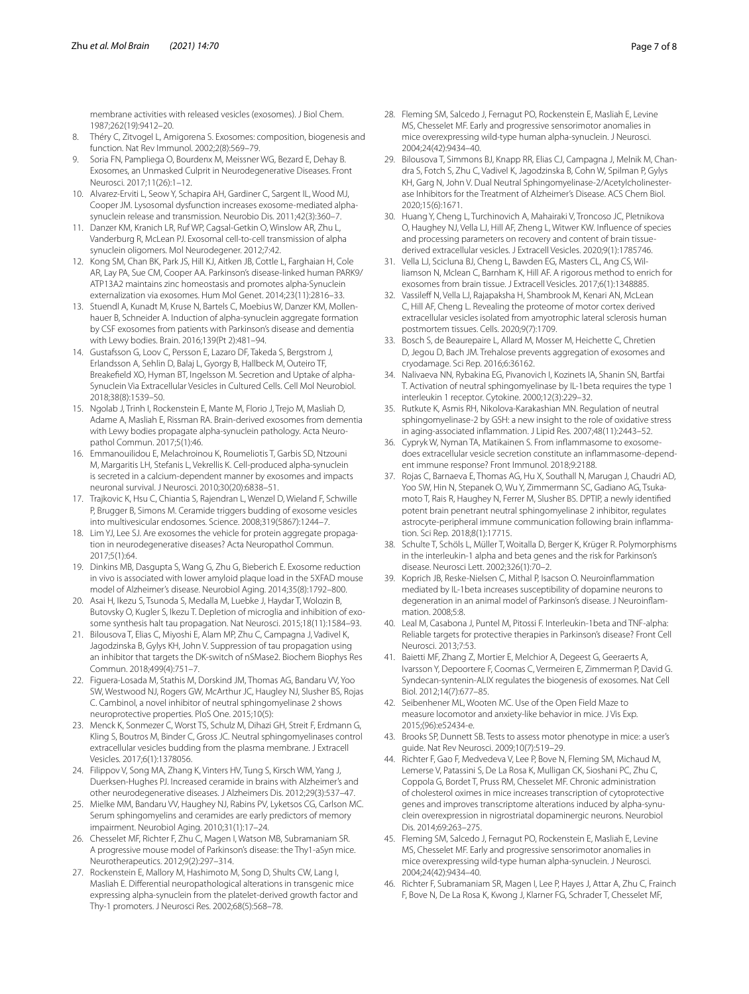membrane activities with released vesicles (exosomes). J Biol Chem. 1987;262(19):9412–20.

- <span id="page-6-0"></span>8. Théry C, Zitvogel L, Amigorena S. Exosomes: composition, biogenesis and function. Nat Rev Immunol. 2002;2(8):569–79.
- <span id="page-6-1"></span>9. Soria FN, Pampliega O, Bourdenx M, Meissner WG, Bezard E, Dehay B. Exosomes, an Unmasked Culprit in Neurodegenerative Diseases. Front Neurosci. 2017;11(26):1–12.
- <span id="page-6-2"></span>10. Alvarez-Erviti L, Seow Y, Schapira AH, Gardiner C, Sargent IL, Wood MJ, Cooper JM. Lysosomal dysfunction increases exosome-mediated alphasynuclein release and transmission. Neurobio Dis. 2011;42(3):360–7.
- 11. Danzer KM, Kranich LR, Ruf WP, Cagsal-Getkin O, Winslow AR, Zhu L, Vanderburg R, McLean PJ. Exosomal cell-to-cell transmission of alpha synuclein oligomers. Mol Neurodegener. 2012;7:42.
- <span id="page-6-30"></span>12. Kong SM, Chan BK, Park JS, Hill KJ, Aitken JB, Cottle L, Farghaian H, Cole AR, Lay PA, Sue CM, Cooper AA. Parkinson's disease-linked human PARK9/ ATP13A2 maintains zinc homeostasis and promotes alpha-Synuclein externalization via exosomes. Hum Mol Genet. 2014;23(11):2816–33.
- 13. Stuendl A, Kunadt M, Kruse N, Bartels C, Moebius W, Danzer KM, Mollenhauer B, Schneider A. Induction of alpha-synuclein aggregate formation by CSF exosomes from patients with Parkinson's disease and dementia with Lewy bodies. Brain. 2016;139(Pt 2):481–94.
- 14. Gustafsson G, Loov C, Persson E, Lazaro DF, Takeda S, Bergstrom J, Erlandsson A, Sehlin D, Balaj L, Gyorgy B, Hallbeck M, Outeiro TF, Breakefeld XO, Hyman BT, Ingelsson M. Secretion and Uptake of alpha-Synuclein Via Extracellular Vesicles in Cultured Cells. Cell Mol Neurobiol. 2018;38(8):1539–50.
- 15. Ngolab J, Trinh I, Rockenstein E, Mante M, Florio J, Trejo M, Masliah D, Adame A, Masliah E, Rissman RA. Brain-derived exosomes from dementia with Lewy bodies propagate alpha-synuclein pathology. Acta Neuropathol Commun. 2017;5(1):46.
- <span id="page-6-3"></span>16. Emmanouilidou E, Melachroinou K, Roumeliotis T, Garbis SD, Ntzouni M, Margaritis LH, Stefanis L, Vekrellis K. Cell-produced alpha-synuclein is secreted in a calcium-dependent manner by exosomes and impacts neuronal survival. J Neurosci. 2010;30(20):6838–51.
- <span id="page-6-4"></span>17. Trajkovic K, Hsu C, Chiantia S, Rajendran L, Wenzel D, Wieland F, Schwille P, Brugger B, Simons M. Ceramide triggers budding of exosome vesicles into multivesicular endosomes. Science. 2008;319(5867):1244–7.
- <span id="page-6-5"></span>18. Lim YJ, Lee SJ. Are exosomes the vehicle for protein aggregate propagation in neurodegenerative diseases? Acta Neuropathol Commun. 2017;5(1):64.
- <span id="page-6-6"></span>19. Dinkins MB, Dasgupta S, Wang G, Zhu G, Bieberich E. Exosome reduction in vivo is associated with lower amyloid plaque load in the 5XFAD mouse model of Alzheimer's disease. Neurobiol Aging. 2014;35(8):1792–800.
- <span id="page-6-7"></span>20. Asai H, Ikezu S, Tsunoda S, Medalla M, Luebke J, Haydar T, Wolozin B, Butovsky O, Kugler S, Ikezu T. Depletion of microglia and inhibition of exosome synthesis halt tau propagation. Nat Neurosci. 2015;18(11):1584–93.
- <span id="page-6-8"></span>21. Bilousova T, Elias C, Miyoshi E, Alam MP, Zhu C, Campagna J, Vadivel K, Jagodzinska B, Gylys KH, John V. Suppression of tau propagation using an inhibitor that targets the DK-switch of nSMase2. Biochem Biophys Res Commun. 2018;499(4):751–7.
- <span id="page-6-9"></span>22. Figuera-Losada M, Stathis M, Dorskind JM, Thomas AG, Bandaru VV, Yoo SW, Westwood NJ, Rogers GW, McArthur JC, Haugley NJ, Slusher BS, Rojas C. Cambinol, a novel inhibitor of neutral sphingomyelinase 2 shows neuroprotective properties. PloS One. 2015;10(5):
- <span id="page-6-10"></span>23. Menck K, Sonmezer C, Worst TS, Schulz M, Dihazi GH, Streit F, Erdmann G, Kling S, Boutros M, Binder C, Gross JC. Neutral sphingomyelinases control extracellular vesicles budding from the plasma membrane. J Extracell Vesicles. 2017;6(1):1378056.
- <span id="page-6-11"></span>24. Filippov V, Song MA, Zhang K, Vinters HV, Tung S, Kirsch WM, Yang J, Duerksen-Hughes PJ. Increased ceramide in brains with Alzheimer's and other neurodegenerative diseases. J Alzheimers Dis. 2012;29(3):537–47.
- <span id="page-6-12"></span>25. Mielke MM, Bandaru VV, Haughey NJ, Rabins PV, Lyketsos CG, Carlson MC. Serum sphingomyelins and ceramides are early predictors of memory impairment. Neurobiol Aging. 2010;31(1):17–24.
- <span id="page-6-13"></span>26. Chesselet MF, Richter F, Zhu C, Magen I, Watson MB, Subramaniam SR. A progressive mouse model of Parkinson's disease: the Thy1-aSyn mice. Neurotherapeutics. 2012;9(2):297–314.
- 27. Rockenstein E, Mallory M, Hashimoto M, Song D, Shults CW, Lang I, Masliah E. Diferential neuropathological alterations in transgenic mice expressing alpha-synuclein from the platelet-derived growth factor and Thy-1 promoters. J Neurosci Res. 2002;68(5):568–78.
- <span id="page-6-14"></span>28. Fleming SM, Salcedo J, Fernagut PO, Rockenstein E, Masliah E, Levine MS, Chesselet MF. Early and progressive sensorimotor anomalies in mice overexpressing wild-type human alpha-synuclein. J Neurosci. 2004;24(42):9434–40.
- <span id="page-6-15"></span>29. Bilousova T, Simmons BJ, Knapp RR, Elias CJ, Campagna J, Melnik M, Chandra S, Fotch S, Zhu C, Vadivel K, Jagodzinska B, Cohn W, Spilman P, Gylys KH, Garg N, John V. Dual Neutral Sphingomyelinase-2/Acetylcholinesterase Inhibitors for the Treatment of Alzheimer's Disease. ACS Chem Biol. 2020;15(6):1671.
- 30. Huang Y, Cheng L, Turchinovich A, Mahairaki V, Troncoso JC, Pletnikova O, Haughey NJ, Vella LJ, Hill AF, Zheng L, Witwer KW. Infuence of species and processing parameters on recovery and content of brain tissuederived extracellular vesicles. J Extracell Vesicles. 2020;9(1):1785746.
- 31. Vella LJ, Scicluna BJ, Cheng L, Bawden EG, Masters CL, Ang CS, Williamson N, Mclean C, Barnham K, Hill AF. A rigorous method to enrich for exosomes from brain tissue. J Extracell Vesicles. 2017;6(1):1348885.
- 32. Vassileff N, Vella LJ, Rajapaksha H, Shambrook M, Kenari AN, McLean C, Hill AF, Cheng L. Revealing the proteome of motor cortex derived extracellular vesicles isolated from amyotrophic lateral sclerosis human postmortem tissues. Cells. 2020;9(7):1709.
- <span id="page-6-16"></span>33. Bosch S, de Beaurepaire L, Allard M, Mosser M, Heichette C, Chretien D, Jegou D, Bach JM. Trehalose prevents aggregation of exosomes and cryodamage. Sci Rep. 2016;6:36162.
- <span id="page-6-17"></span>34. Nalivaeva NN, Rybakina EG, Pivanovich I, Kozinets IA, Shanin SN, Bartfai T. Activation of neutral sphingomyelinase by IL-1beta requires the type 1 interleukin 1 receptor. Cytokine. 2000;12(3):229–32.
- <span id="page-6-18"></span>35. Rutkute K, Asmis RH, Nikolova-Karakashian MN. Regulation of neutral sphingomyelinase-2 by GSH: a new insight to the role of oxidative stress in aging-associated infammation. J Lipid Res. 2007;48(11):2443–52.
- <span id="page-6-19"></span>36. Cypryk W, Nyman TA, Matikainen S. From infammasome to exosomedoes extracellular vesicle secretion constitute an infammasome-dependent immune response? Front Immunol. 2018;9:2188.
- <span id="page-6-20"></span>37. Rojas C, Barnaeva E, Thomas AG, Hu X, Southall N, Marugan J, Chaudri AD, Yoo SW, Hin N, Stepanek O, Wu Y, Zimmermann SC, Gadiano AG, Tsukamoto T, Rais R, Haughey N, Ferrer M, Slusher BS. DPTIP, a newly identifed potent brain penetrant neutral sphingomyelinase 2 inhibitor, regulates astrocyte-peripheral immune communication following brain infammation. Sci Rep. 2018;8(1):17715.
- <span id="page-6-21"></span>38. Schulte T, Schöls L, Müller T, Woitalla D, Berger K, Krüger R. Polymorphisms in the interleukin-1 alpha and beta genes and the risk for Parkinson's disease. Neurosci Lett. 2002;326(1):70–2.
- <span id="page-6-22"></span>39. Koprich JB, Reske-Nielsen C, Mithal P, Isacson O. Neuroinfammation mediated by IL-1beta increases susceptibility of dopamine neurons to degeneration in an animal model of Parkinson's disease. J Neuroinfammation. 2008;5:8.
- <span id="page-6-23"></span>40. Leal M, Casabona J, Puntel M, Pitossi F. Interleukin-1beta and TNF-alpha: Reliable targets for protective therapies in Parkinson's disease? Front Cell Neurosci. 2013;7:53.
- <span id="page-6-24"></span>41. Baietti MF, Zhang Z, Mortier E, Melchior A, Degeest G, Geeraerts A, Ivarsson Y, Depoortere F, Coomas C, Vermeiren E, Zimmerman P, David G. Syndecan-syntenin-ALIX regulates the biogenesis of exosomes. Nat Cell Biol. 2012;14(7):677–85.
- <span id="page-6-25"></span>42. Seibenhener ML, Wooten MC. Use of the Open Field Maze to measure locomotor and anxiety-like behavior in mice. J Vis Exp. 2015;(96):e52434-e.
- <span id="page-6-26"></span>43. Brooks SP, Dunnett SB. Tests to assess motor phenotype in mice: a user's guide. Nat Rev Neurosci. 2009;10(7):519–29.
- <span id="page-6-27"></span>44. Richter F, Gao F, Medvedeva V, Lee P, Bove N, Fleming SM, Michaud M, Lemerse V, Patassini S, De La Rosa K, Mulligan CK, Sioshani PC, Zhu C, Coppola G, Bordet T, Pruss RM, Chesselet MF. Chronic administration of cholesterol oximes in mice increases transcription of cytoprotective genes and improves transcriptome alterations induced by alpha-synuclein overexpression in nigrostriatal dopaminergic neurons. Neurobiol Dis. 2014;69:263–275.
- <span id="page-6-28"></span>45. Fleming SM, Salcedo J, Fernagut PO, Rockenstein E, Masliah E, Levine MS, Chesselet MF. Early and progressive sensorimotor anomalies in mice overexpressing wild-type human alpha-synuclein. J Neurosci. 2004;24(42):9434–40.
- <span id="page-6-29"></span>46. Richter F, Subramaniam SR, Magen I, Lee P, Hayes J, Attar A, Zhu C, Frainch F, Bove N, De La Rosa K, Kwong J, Klarner FG, Schrader T, Chesselet MF,